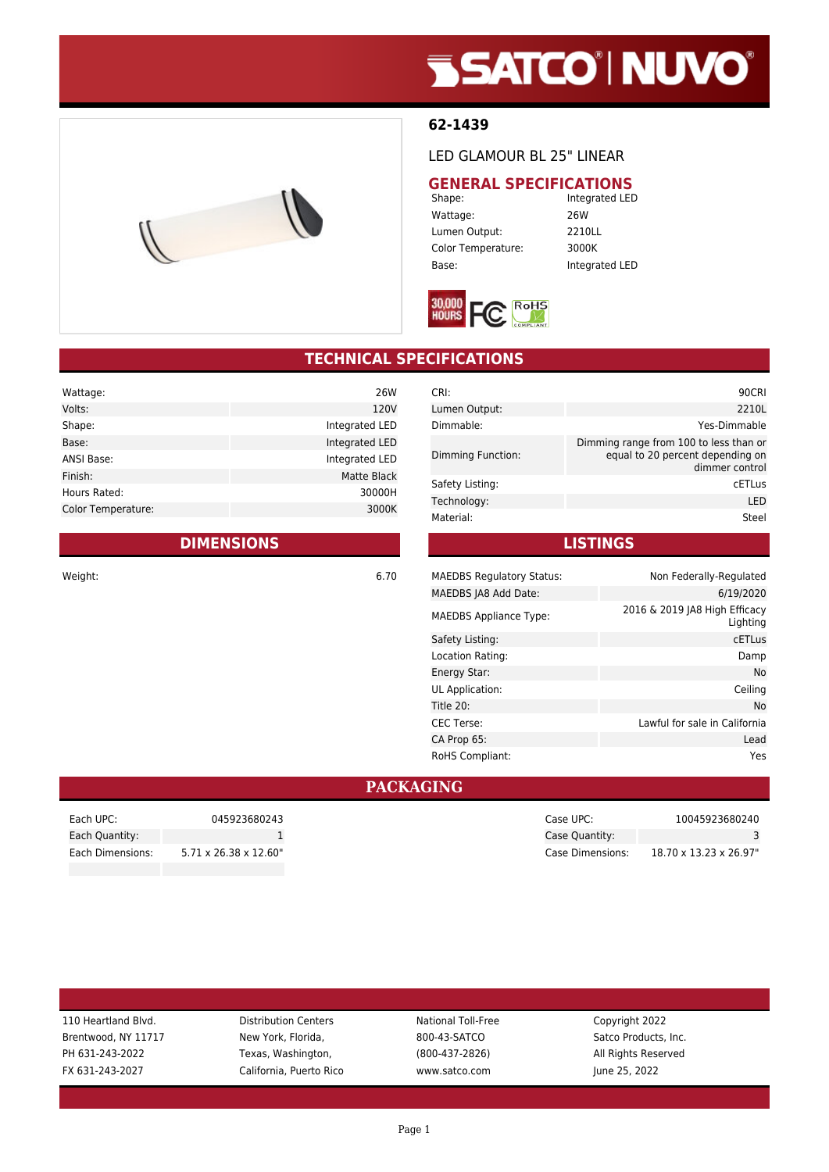# **SSATCO' NUVO'**

#### **62-1439**

LED GLAMOUR BL 25" LINEAR

## **GENERAL SPECIFICATIONS**<br>Integrated LED

Wattage: 26W Lumen Output: 2210LL Color Temperature: 3000K Base: Integrated LED

Integrated LED



### **TECHNICAL SPECIFICATIONS**

| Wattage:           | 26W            |
|--------------------|----------------|
| Volts:             | 120V           |
| Shape:             | Integrated LED |
| Base:              | Integrated LED |
| ANSI Base:         | Integrated LED |
| Finish:            | Matte Black    |
| Hours Rated:       | 30000H         |
| Color Temperature: | 3000K          |
|                    |                |

#### **DIMENSIONS**

Weight: 6.70

| CRI:              | 90CRI                                                                                        |
|-------------------|----------------------------------------------------------------------------------------------|
| Lumen Output:     | 2210L                                                                                        |
| Dimmable:         | Yes-Dimmable                                                                                 |
| Dimming Function: | Dimming range from 100 to less than or<br>equal to 20 percent depending on<br>dimmer control |
| Safety Listing:   | <b>CETLus</b>                                                                                |
| Technology:       | LED                                                                                          |
| Material:         | Steel                                                                                        |

#### **LISTINGS**

| <b>MAEDBS Regulatory Status:</b> | Non Federally-Regulated                   |
|----------------------------------|-------------------------------------------|
| MAEDBS JA8 Add Date:             | 6/19/2020                                 |
| <b>MAEDBS Appliance Type:</b>    | 2016 & 2019 JA8 High Efficacy<br>Lighting |
| Safety Listing:                  | <b>CETLus</b>                             |
| Location Rating:                 | Damp                                      |
| Energy Star:                     | No                                        |
| UL Application:                  | Ceiling                                   |
| Title 20:                        | No                                        |
| <b>CEC Terse:</b>                | Lawful for sale in California             |
| CA Prop 65:                      | Lead                                      |
| <b>RoHS Compliant:</b>           | Yes                                       |

#### **PACKAGING**

| Each UPC:        | 045923680243                       |
|------------------|------------------------------------|
| Each Quantity:   |                                    |
| Each Dimensions: | $5.71 \times 26.38 \times 12.60$ " |

Case UPC: 10045923680240 Case Quantity: 3 Case Dimensions: 18.70 x 13.23 x 26.97"

| 110 Heartland Blvd. |  |  |
|---------------------|--|--|
| Brentwood, NY 11717 |  |  |
| PH 631-243-2022     |  |  |
| FX 631-243-2027     |  |  |

Distribution Centers **National Toll-Free** Copyright 2022 New York, Florida, **NY 1200-43-SATCO** Satco Products, Inc. Texas, Washington, Texas, Washington, 1982-2022 (800-437-2826) All Rights Reserved California, Puerto Rico www.satco.com June 25, 2022